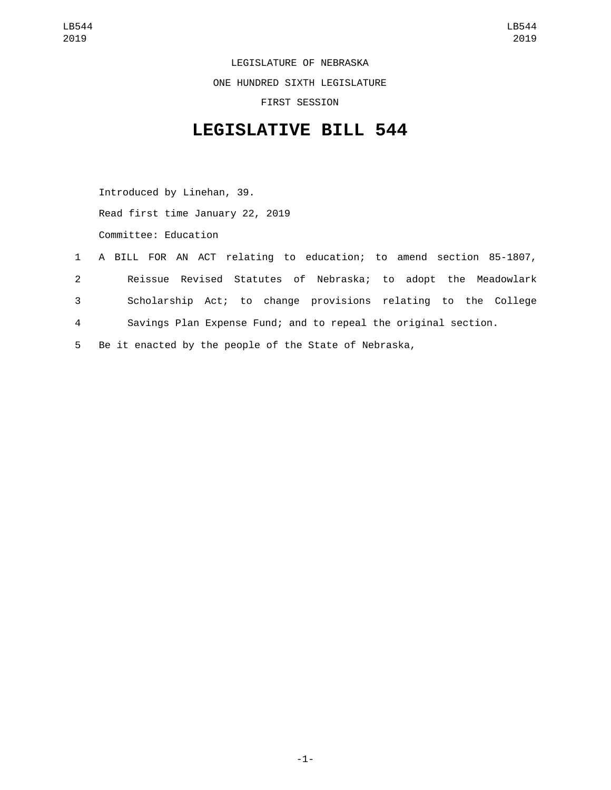LEGISLATURE OF NEBRASKA ONE HUNDRED SIXTH LEGISLATURE FIRST SESSION

## **LEGISLATIVE BILL 544**

Introduced by Linehan, 39. Read first time January 22, 2019 Committee: Education

 A BILL FOR AN ACT relating to education; to amend section 85-1807, Reissue Revised Statutes of Nebraska; to adopt the Meadowlark Scholarship Act; to change provisions relating to the College Savings Plan Expense Fund; and to repeal the original section. Be it enacted by the people of the State of Nebraska,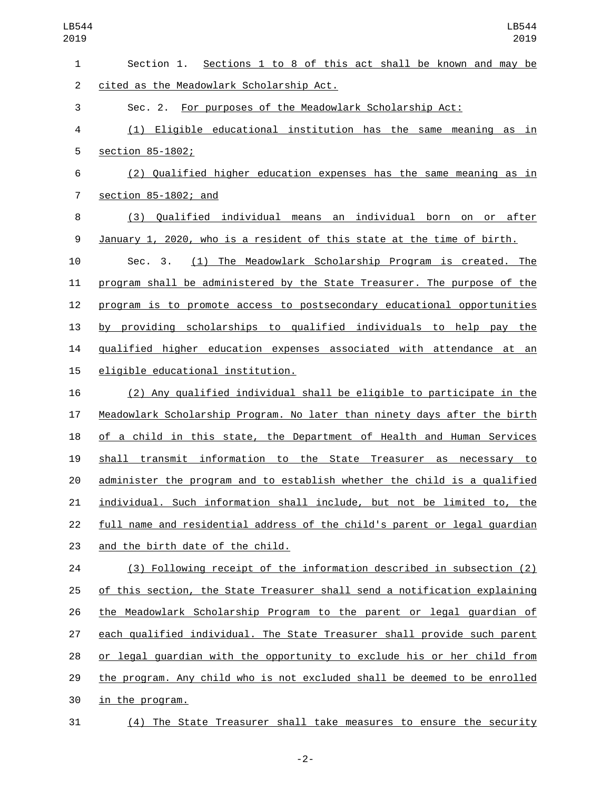| $\mathbf{1}$   | Section 1. Sections 1 to 8 of this act shall be known and may be                 |
|----------------|----------------------------------------------------------------------------------|
| $\overline{c}$ | cited as the Meadowlark Scholarship Act.                                         |
| 3              | Sec. 2. For purposes of the Meadowlark Scholarship Act:                          |
| 4              | (1) Eligible educational institution has the same meaning as in                  |
| 5              | section 85-1802;                                                                 |
| 6              | (2) Qualified higher education expenses has the same meaning as in               |
| $\overline{7}$ | section 85-1802; and                                                             |
| 8              | (3) Qualified individual means an individual born on or after                    |
| 9              | January 1, 2020, who is a resident of this state at the time of birth.           |
| 10             | (1) The Meadowlark Scholarship Program is created. The<br>Sec. 3.                |
| 11             | program shall be administered by the State Treasurer. The purpose of the         |
| 12             | program is to promote access to postsecondary educational opportunities          |
| 13             | by providing scholarships to qualified individuals to help pay the               |
| 14             | qualified higher education expenses associated with attendance at an             |
| 15             | eligible educational institution.                                                |
| 16             | (2) Any qualified individual shall be eligible to participate in the             |
| 17             | Meadowlark Scholarship Program. No later than ninety days after the birth        |
| 18             | of a child in this state, the Department of Health and Human Services            |
| 19             | shall transmit information to the State Treasurer as necessary to                |
| 20             | administer the program and to establish whether the child is a qualified         |
| 21             | individual. Such information shall include, but not be limited to, the           |
| 22             | <u>full name and residential address of the child's parent or legal guardian</u> |
| 23             | and the birth date of the child.                                                 |
| 24             | (3) Following receipt of the information described in subsection (2)             |
| 25             | of this section, the State Treasurer shall send a notification explaining        |
| 26             | the Meadowlark Scholarship Program to the parent or legal quardian of            |
| 27             | each qualified individual. The State Treasurer shall provide such parent         |
| 28             | or legal guardian with the opportunity to exclude his or her child from          |
| 29             | the program. Any child who is not excluded shall be deemed to be enrolled        |
| 30             | in the program.                                                                  |
| 31             | (4) The State Treasurer shall take measures to ensure the security               |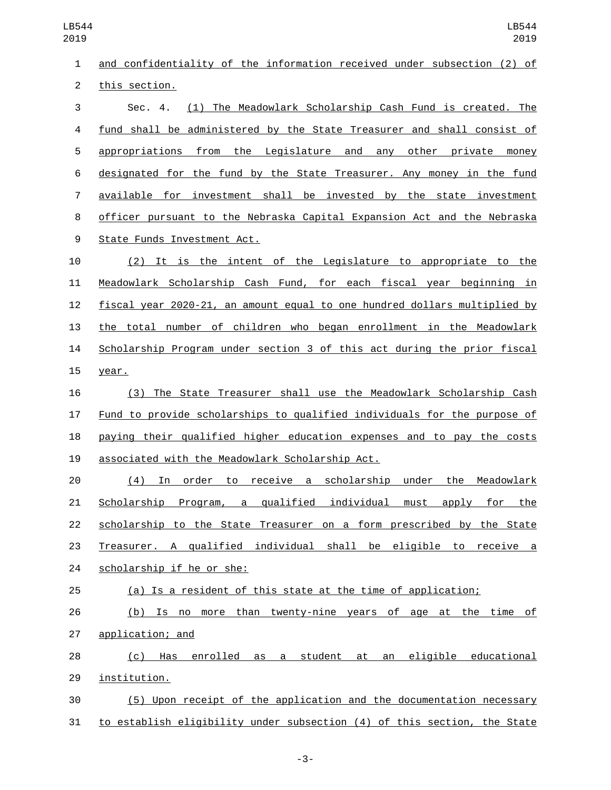| 1              | and confidentiality of the information received under subsection (2) of   |
|----------------|---------------------------------------------------------------------------|
| $\overline{c}$ | this section.                                                             |
| 3              | (1) The Meadowlark Scholarship Cash Fund is created. The<br>Sec. 4.       |
| 4              | fund shall be administered by the State Treasurer and shall consist of    |
| 5              | appropriations from the Legislature and any other private money           |
| 6              | designated for the fund by the State Treasurer. Any money in the fund     |
| $\overline{7}$ | available for investment shall be invested by the state investment        |
| 8              | officer pursuant to the Nebraska Capital Expansion Act and the Nebraska   |
| 9              | State Funds Investment Act.                                               |
| 10             | (2) It is the intent of the Legislature to appropriate to the             |
| 11             | Meadowlark Scholarship Cash Fund, for each fiscal year beginning in       |
| 12             | fiscal year 2020-21, an amount equal to one hundred dollars multiplied by |
| 13             | the total number of children who began enrollment in the Meadowlark       |
| 14             | Scholarship Program under section 3 of this act during the prior fiscal   |
| 15             | year.                                                                     |
| 16             | (3) The State Treasurer shall use the Meadowlark Scholarship Cash         |
| 17             | Fund to provide scholarships to qualified individuals for the purpose of  |
| 18             | paying their qualified higher education expenses and to pay the costs     |
| 19             | associated with the Meadowlark Scholarship Act.                           |
| 20             | In order to receive a scholarship under the Meadowlark<br>(4)             |
| 21             | Scholarship Program, a qualified individual must apply for the            |
| 22             | scholarship to the State Treasurer on a form prescribed by the State      |
| 23             | Treasurer. A qualified individual shall be eligible to receive a          |
| 24             | scholarship if he or she:                                                 |
| 25             | (a) Is a resident of this state at the time of application;               |
| 26             | (b) Is no more than twenty-nine years of age at the time of               |
| 27             | application; and                                                          |
| 28             | Has enrolled as a student at an eligible educational<br>(c)               |
| 29             | institution.                                                              |
| 30             | (5) Upon receipt of the application and the documentation necessary       |
| 31             | to establish eligibility under subsection (4) of this section, the State  |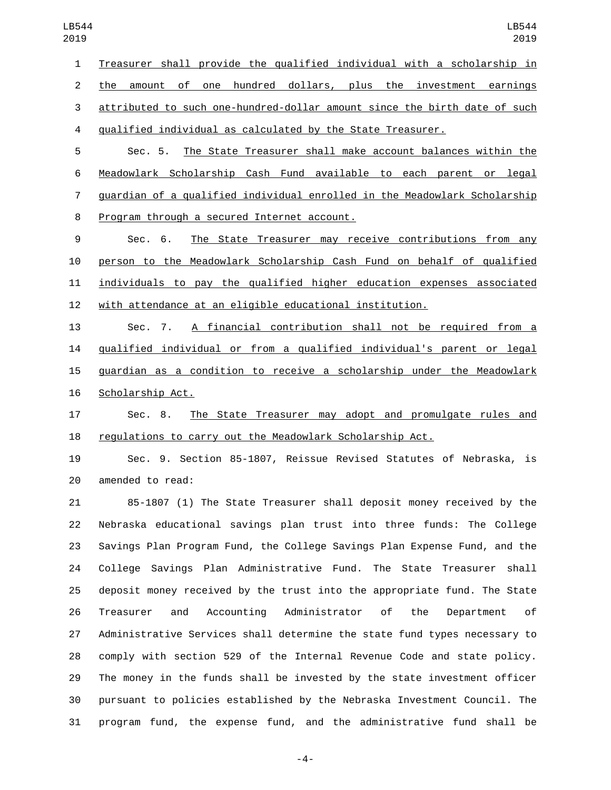Treasurer shall provide the qualified individual with a scholarship in the amount of one hundred dollars, plus the investment earnings attributed to such one-hundred-dollar amount since the birth date of such qualified individual as calculated by the State Treasurer.

 Sec. 5. The State Treasurer shall make account balances within the Meadowlark Scholarship Cash Fund available to each parent or legal guardian of a qualified individual enrolled in the Meadowlark Scholarship 8 Program through a secured Internet account.

 Sec. 6. The State Treasurer may receive contributions from any person to the Meadowlark Scholarship Cash Fund on behalf of qualified individuals to pay the qualified higher education expenses associated with attendance at an eligible educational institution.

 Sec. 7. A financial contribution shall not be required from a qualified individual or from a qualified individual's parent or legal guardian as a condition to receive a scholarship under the Meadowlark 16 Scholarship Act.

 Sec. 8. The State Treasurer may adopt and promulgate rules and regulations to carry out the Meadowlark Scholarship Act.

 Sec. 9. Section 85-1807, Reissue Revised Statutes of Nebraska, is 20 amended to read:

 85-1807 (1) The State Treasurer shall deposit money received by the Nebraska educational savings plan trust into three funds: The College Savings Plan Program Fund, the College Savings Plan Expense Fund, and the College Savings Plan Administrative Fund. The State Treasurer shall deposit money received by the trust into the appropriate fund. The State Treasurer and Accounting Administrator of the Department of Administrative Services shall determine the state fund types necessary to comply with section 529 of the Internal Revenue Code and state policy. The money in the funds shall be invested by the state investment officer pursuant to policies established by the Nebraska Investment Council. The program fund, the expense fund, and the administrative fund shall be

-4-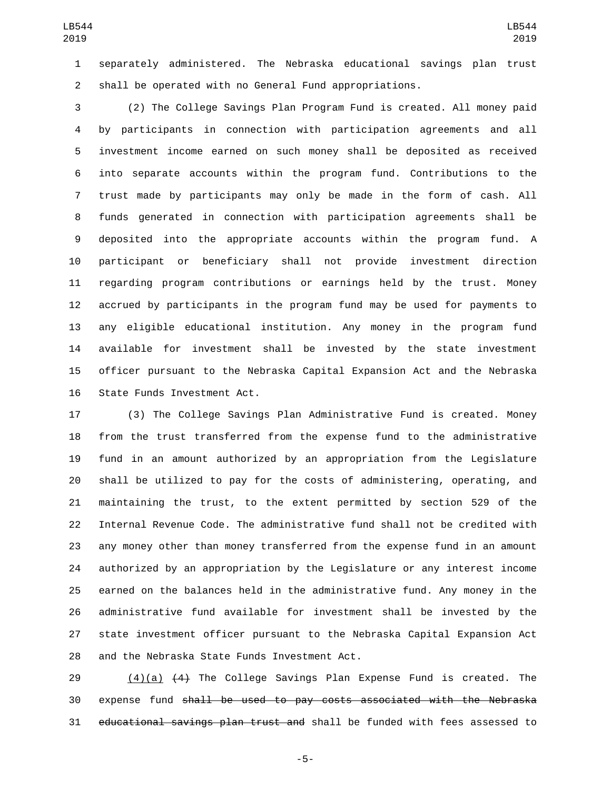separately administered. The Nebraska educational savings plan trust shall be operated with no General Fund appropriations.

 (2) The College Savings Plan Program Fund is created. All money paid by participants in connection with participation agreements and all investment income earned on such money shall be deposited as received into separate accounts within the program fund. Contributions to the trust made by participants may only be made in the form of cash. All funds generated in connection with participation agreements shall be deposited into the appropriate accounts within the program fund. A participant or beneficiary shall not provide investment direction regarding program contributions or earnings held by the trust. Money accrued by participants in the program fund may be used for payments to any eligible educational institution. Any money in the program fund available for investment shall be invested by the state investment officer pursuant to the Nebraska Capital Expansion Act and the Nebraska 16 State Funds Investment Act.

 (3) The College Savings Plan Administrative Fund is created. Money from the trust transferred from the expense fund to the administrative fund in an amount authorized by an appropriation from the Legislature shall be utilized to pay for the costs of administering, operating, and maintaining the trust, to the extent permitted by section 529 of the Internal Revenue Code. The administrative fund shall not be credited with any money other than money transferred from the expense fund in an amount authorized by an appropriation by the Legislature or any interest income earned on the balances held in the administrative fund. Any money in the administrative fund available for investment shall be invested by the state investment officer pursuant to the Nebraska Capital Expansion Act 28 and the Nebraska State Funds Investment Act.

29  $(4)(a)$   $(4)$  The College Savings Plan Expense Fund is created. The expense fund shall be used to pay costs associated with the Nebraska educational savings plan trust and shall be funded with fees assessed to

-5-